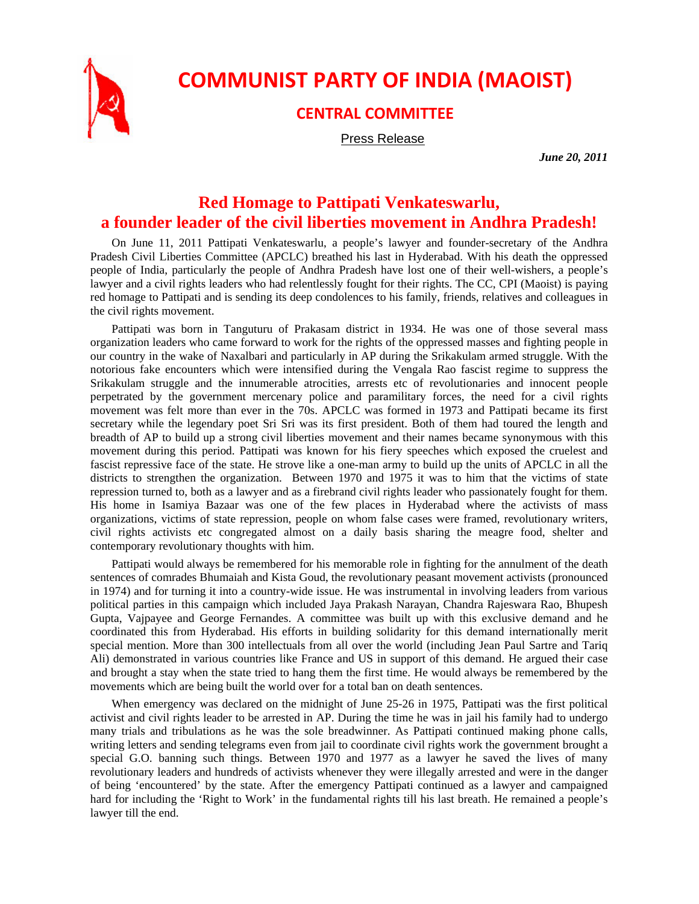

## **COMMUNIST PARTY OF INDIA (MAOIST)**

## **CENTRAL COMMITTEE**

Press Release

*June 20, 2011* 

## **Red Homage to Pattipati Venkateswarlu, a founder leader of the civil liberties movement in Andhra Pradesh!**

On June 11, 2011 Pattipati Venkateswarlu, a people's lawyer and founder-secretary of the Andhra Pradesh Civil Liberties Committee (APCLC) breathed his last in Hyderabad. With his death the oppressed people of India, particularly the people of Andhra Pradesh have lost one of their well-wishers, a people's lawyer and a civil rights leaders who had relentlessly fought for their rights. The CC, CPI (Maoist) is paying red homage to Pattipati and is sending its deep condolences to his family, friends, relatives and colleagues in the civil rights movement.

Pattipati was born in Tanguturu of Prakasam district in 1934. He was one of those several mass organization leaders who came forward to work for the rights of the oppressed masses and fighting people in our country in the wake of Naxalbari and particularly in AP during the Srikakulam armed struggle. With the notorious fake encounters which were intensified during the Vengala Rao fascist regime to suppress the Srikakulam struggle and the innumerable atrocities, arrests etc of revolutionaries and innocent people perpetrated by the government mercenary police and paramilitary forces, the need for a civil rights movement was felt more than ever in the 70s. APCLC was formed in 1973 and Pattipati became its first secretary while the legendary poet Sri Sri was its first president. Both of them had toured the length and breadth of AP to build up a strong civil liberties movement and their names became synonymous with this movement during this period. Pattipati was known for his fiery speeches which exposed the cruelest and fascist repressive face of the state. He strove like a one-man army to build up the units of APCLC in all the districts to strengthen the organization. Between 1970 and 1975 it was to him that the victims of state repression turned to, both as a lawyer and as a firebrand civil rights leader who passionately fought for them. His home in Isamiya Bazaar was one of the few places in Hyderabad where the activists of mass organizations, victims of state repression, people on whom false cases were framed, revolutionary writers, civil rights activists etc congregated almost on a daily basis sharing the meagre food, shelter and contemporary revolutionary thoughts with him.

Pattipati would always be remembered for his memorable role in fighting for the annulment of the death sentences of comrades Bhumaiah and Kista Goud, the revolutionary peasant movement activists (pronounced in 1974) and for turning it into a country-wide issue. He was instrumental in involving leaders from various political parties in this campaign which included Jaya Prakash Narayan, Chandra Rajeswara Rao, Bhupesh Gupta, Vajpayee and George Fernandes. A committee was built up with this exclusive demand and he coordinated this from Hyderabad. His efforts in building solidarity for this demand internationally merit special mention. More than 300 intellectuals from all over the world (including Jean Paul Sartre and Tariq Ali) demonstrated in various countries like France and US in support of this demand. He argued their case and brought a stay when the state tried to hang them the first time. He would always be remembered by the movements which are being built the world over for a total ban on death sentences.

When emergency was declared on the midnight of June 25-26 in 1975, Pattipati was the first political activist and civil rights leader to be arrested in AP. During the time he was in jail his family had to undergo many trials and tribulations as he was the sole breadwinner. As Pattipati continued making phone calls, writing letters and sending telegrams even from jail to coordinate civil rights work the government brought a special G.O. banning such things. Between 1970 and 1977 as a lawyer he saved the lives of many revolutionary leaders and hundreds of activists whenever they were illegally arrested and were in the danger of being 'encountered' by the state. After the emergency Pattipati continued as a lawyer and campaigned hard for including the 'Right to Work' in the fundamental rights till his last breath. He remained a people's lawyer till the end.